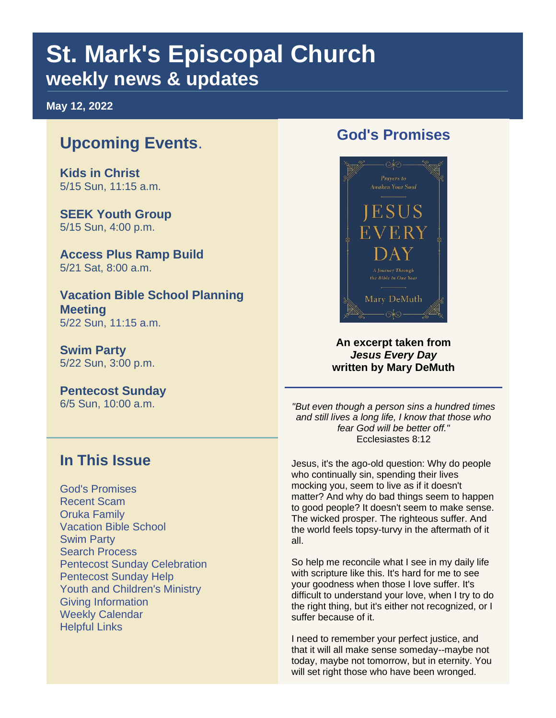# **St. Mark's Episcopal Church weekly news & updates**

**May 12, 2022**

# **Upcoming Events**.

**Kids in Christ**  5/15 Sun, 11:15 a.m.

**SEEK Youth Group** 5/15 Sun, 4:00 p.m.

**Access Plus Ramp Build** 5/21 Sat, 8:00 a.m.

**Vacation Bible School Planning Meeting** 5/22 Sun, 11:15 a.m.

**Swim Party** 5/22 Sun, 3:00 p.m.

**Pentecost Sunday** 6/5 Sun, 10:00 a.m.

# **God's Promises**



**An excerpt taken from**  *Jesus Every Day* **written by Mary DeMuth**

*"But even though a person sins a hundred times and still lives a long life, I know that those who fear God will be better off."* Ecclesiastes 8:12

# **In This Issue**

God's Promises Recent Scam Oruka Family Vacation Bible School Swim Party Search Process Pentecost Sunday Celebration Pentecost Sunday Help Youth and Children's Ministry Giving Information Weekly Calendar Helpful Links

Jesus, it's the ago-old question: Why do people who continually sin, spending their lives mocking you, seem to live as if it doesn't matter? And why do bad things seem to happen to good people? It doesn't seem to make sense. The wicked prosper. The righteous suffer. And the world feels topsy-turvy in the aftermath of it all.

So help me reconcile what I see in my daily life with scripture like this. It's hard for me to see your goodness when those I love suffer. It's difficult to understand your love, when I try to do the right thing, but it's either not recognized, or I suffer because of it.

I need to remember your perfect justice, and that it will all make sense someday--maybe not today, maybe not tomorrow, but in eternity. You will set right those who have been wronged.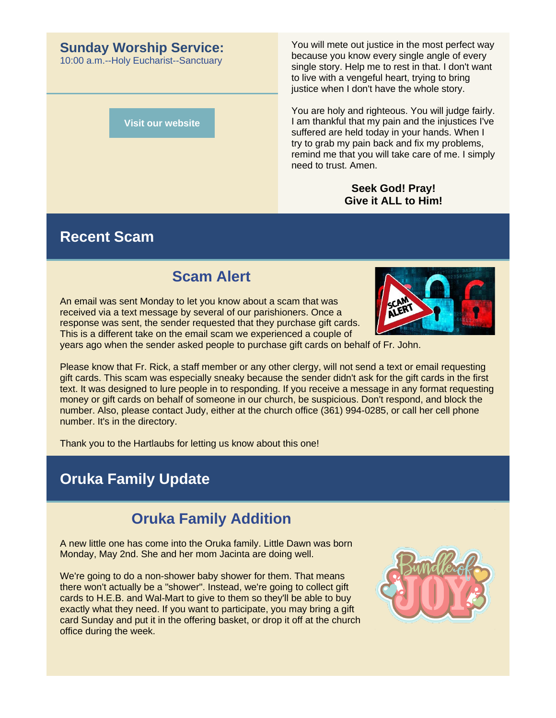#### **Sunday Worship Service:**

10:00 a.m.--Holy Eucharist--Sanctuary

**[Visit our website](https://r20.rs6.net/tn.jsp?f=001IxTnk1FlNrYfc4K1QRII4YRb20DtUsjKq4YcNO3R6r7NUrWUP9XQIcsImULokGIbrmhveSp3p-xYEigFQbumlZqxmt6hjC5Wju_MsskZWwv-GhKUBTC2w-xYrU3J1q0d4B5C2v0_eJKNUwjuRCOqkQ==&c=0YZ_WeqoJiC0tx2KGS8UmCbU-ZC8CPBcPNM34lQVddHowI_lLfRCjA==&ch=05SrjBM0kRSJldlM7bFlPVuqd72pnmF3FhYhPK-1ZVJUFIOkBdRC2A==)**

You will mete out justice in the most perfect way because you know every single angle of every single story. Help me to rest in that. I don't want to live with a vengeful heart, trying to bring justice when I don't have the whole story.

You are holy and righteous. You will judge fairly. I am thankful that my pain and the injustices I've suffered are held today in your hands. When I try to grab my pain back and fix my problems, remind me that you will take care of me. I simply need to trust. Amen.

#### **Seek God! Pray! Give it ALL to Him!**

#### **Recent Scam**

# **Scam Alert**

An email was sent Monday to let you know about a scam that was received via a text message by several of our parishioners. Once a response was sent, the sender requested that they purchase gift cards. This is a different take on the email scam we experienced a couple of



years ago when the sender asked people to purchase gift cards on behalf of Fr. John.

Please know that Fr. Rick, a staff member or any other clergy, will not send a text or email requesting gift cards. This scam was especially sneaky because the sender didn't ask for the gift cards in the first text. It was designed to lure people in to responding. If you receive a message in any format requesting money or gift cards on behalf of someone in our church, be suspicious. Don't respond, and block the number. Also, please contact Judy, either at the church office (361) 994-0285, or call her cell phone number. It's in the directory.

Thank you to the Hartlaubs for letting us know about this one!

# **Oruka Family Update**

# **Oruka Family Addition**

A new little one has come into the Oruka family. Little Dawn was born Monday, May 2nd. She and her mom Jacinta are doing well.

We're going to do a non-shower baby shower for them. That means there won't actually be a "shower". Instead, we're going to collect gift cards to H.E.B. and Wal-Mart to give to them so they'll be able to buy exactly what they need. If you want to participate, you may bring a gift card Sunday and put it in the offering basket, or drop it off at the church office during the week.

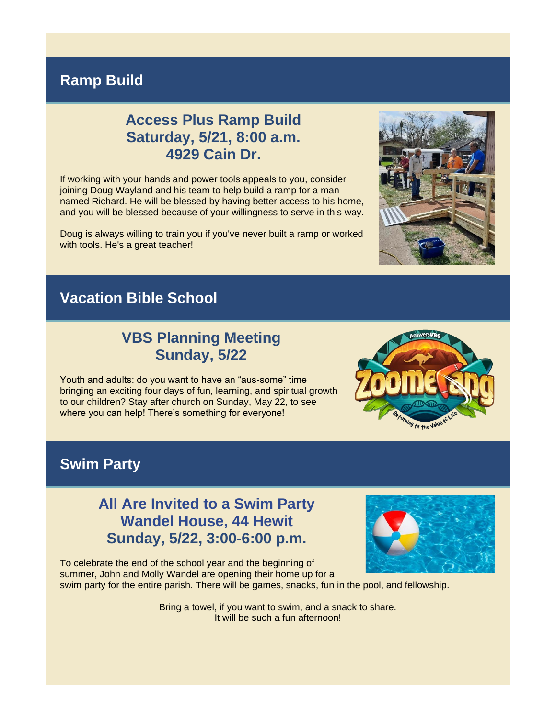#### **Ramp Build**

# **Access Plus Ramp Build Saturday, 5/21, 8:00 a.m. 4929 Cain Dr.**

If working with your hands and power tools appeals to you, consider joining Doug Wayland and his team to help build a ramp for a man named Richard. He will be blessed by having better access to his home, and you will be blessed because of your willingness to serve in this way.

Doug is always willing to train you if you've never built a ramp or worked with tools. He's a great teacher!

# **Vacation Bible School**

#### **VBS Planning Meeting Sunday, 5/22**

Youth and adults: do you want to have an "aus-some" time bringing an exciting four days of fun, learning, and spiritual growth to our children? Stay after church on Sunday, May 22, to see where you can help! There's something for everyone!

**Swim Party**

#### **All Are Invited to a Swim Party Wandel House, 44 Hewit Sunday, 5/22, 3:00-6:00 p.m.**

To celebrate the end of the school year and the beginning of summer, John and Molly Wandel are opening their home up for a swim party for the entire parish. There will be games, snacks, fun in the pool, and fellowship.



Bring a towel, if you want to swim, and a snack to share.

It will be such a fun afternoon!



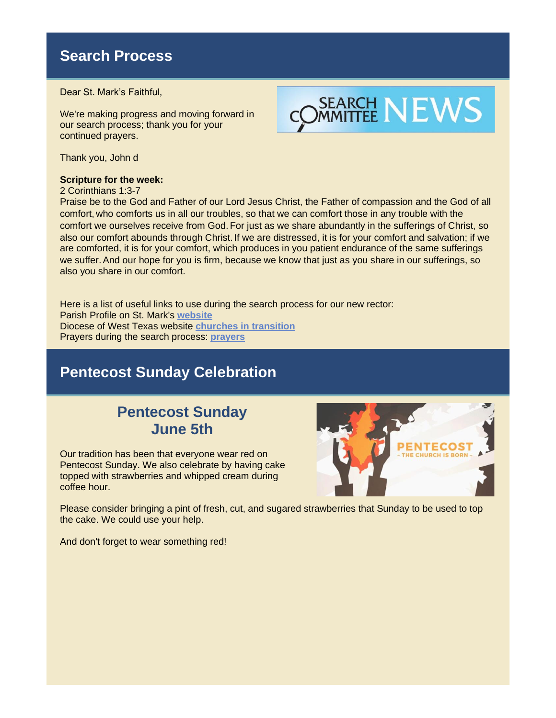# **Search Process**

Dear St. Mark's Faithful,

We're making progress and moving forward in our search process; thank you for your continued prayers.



Thank you, John d

**Scripture for the week:**

2 Corinthians 1:3-7

Praise be to the God and Father of our Lord Jesus Christ, the Father of compassion and the God of all comfort, who comforts us in all our troubles, so that we can comfort those in any trouble with the comfort we ourselves receive from God. For just as we share abundantly in the sufferings of Christ, so also our comfort abounds through Christ. If we are distressed, it is for your comfort and salvation; if we are comforted, it is for your comfort, which produces in you patient endurance of the same sufferings we suffer.And our hope for you is firm, because we know that just as you share in our sufferings, so also you share in our comfort.

Here is a list of useful links to use during the search process for our new rector: Parish Profile on St. Mark's **[website](https://r20.rs6.net/tn.jsp?f=001IxTnk1FlNrYfc4K1QRII4YRb20DtUsjKq4YcNO3R6r7NUrWUP9XQIWL5_HipRC4vS0O4gtrGlm-CTxsGiZLR6X5GUH5ng_D9-VNixpkU_4LbXn5GMD5wzGN4OCejTMnzrv6A9kFuyItapfJzkqaHT1HuCMtH3DC7GkcMcYIOq8E=&c=0YZ_WeqoJiC0tx2KGS8UmCbU-ZC8CPBcPNM34lQVddHowI_lLfRCjA==&ch=05SrjBM0kRSJldlM7bFlPVuqd72pnmF3FhYhPK-1ZVJUFIOkBdRC2A==)** Diocese of West Texas website **[churches in transition](https://r20.rs6.net/tn.jsp?f=001IxTnk1FlNrYfc4K1QRII4YRb20DtUsjKq4YcNO3R6r7NUrWUP9XQIYVdLcI4dDL1wcIrROO5ln_SmcPyZgVBDcCoXmUZ6wsgZjMA7FyAOxFYDc_Z4EpvEtG9mkOWHOpJutgkroCCLXlcQM7PyuQEMpH40ACq4iew3lXkUyEAO1iAflgIADkZQnZmvxVzKNlCaCYtBl6FSWq1QfgMS5mE0wE4iyZUI9PcHFj8lXOtD9g=&c=0YZ_WeqoJiC0tx2KGS8UmCbU-ZC8CPBcPNM34lQVddHowI_lLfRCjA==&ch=05SrjBM0kRSJldlM7bFlPVuqd72pnmF3FhYhPK-1ZVJUFIOkBdRC2A==)** Prayers during the search process: **[prayers](https://r20.rs6.net/tn.jsp?f=001IxTnk1FlNrYfc4K1QRII4YRb20DtUsjKq4YcNO3R6r7NUrWUP9XQIWL5_HipRC4v8gg5APcWy8pIBbHy_oXzfqP6tyPUH_-mZviFJWT0Ic7Pj8EHCe12Qc3OjS2yLWka5a4ZU8D9kT9AZcGA9PyZrIccInze66eSnEVZD9Kgqjy02uNt4vcRoaqCAUR_8sSbKHMCE1JD2GY-F_LdWkf_lZwM8n55KjEsD4jG_Y3KLrE=&c=0YZ_WeqoJiC0tx2KGS8UmCbU-ZC8CPBcPNM34lQVddHowI_lLfRCjA==&ch=05SrjBM0kRSJldlM7bFlPVuqd72pnmF3FhYhPK-1ZVJUFIOkBdRC2A==)**

#### **Pentecost Sunday Celebration**

# **Pentecost Sunday June 5th**

Our tradition has been that everyone wear red on Pentecost Sunday. We also celebrate by having cake topped with strawberries and whipped cream during coffee hour.



Please consider bringing a pint of fresh, cut, and sugared strawberries that Sunday to be used to top the cake. We could use your help.

And don't forget to wear something red!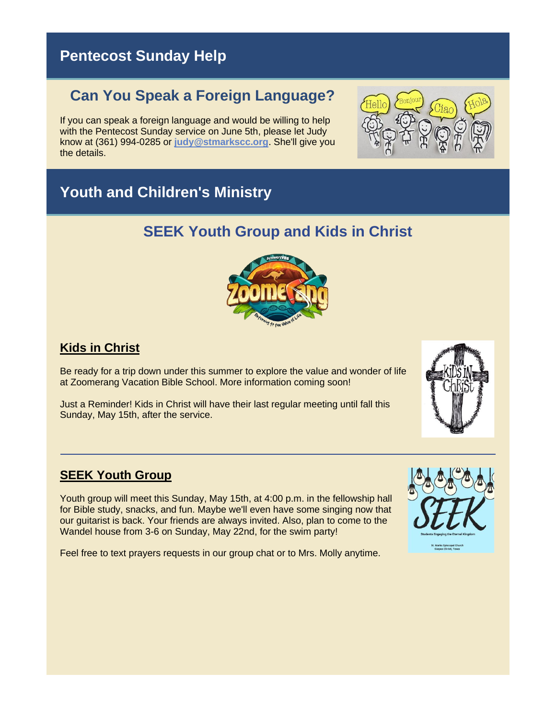# **Pentecost Sunday Help**

# **Can You Speak a Foreign Language?**

If you can speak a foreign language and would be willing to help with the Pentecost Sunday service on June 5th, please let Judy know at (361) 994-0285 or **[judy@stmarkscc.org](mailto:judy@stmarkscc.org)**. She'll give you the details.



# **Youth and Children's Ministry**

# **SEEK Youth Group and Kids in Christ**



#### **Kids in Christ**

Be ready for a trip down under this summer to explore the value and wonder of life at Zoomerang Vacation Bible School. More information coming soon!

Just a Reminder! Kids in Christ will have their last regular meeting until fall this Sunday, May 15th, after the service.



Youth group will meet this Sunday, May 15th, at 4:00 p.m. in the fellowship hall for Bible study, snacks, and fun. Maybe we'll even have some singing now that our guitarist is back. Your friends are always invited. Also, plan to come to the Wandel house from 3-6 on Sunday, May 22nd, for the swim party!

Feel free to text prayers requests in our group chat or to Mrs. Molly anytime.



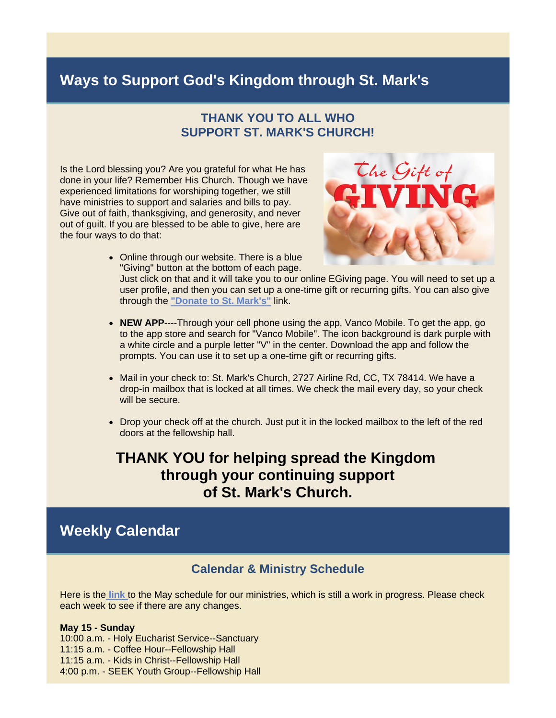### **Ways to Support God's Kingdom through St. Mark's**

#### **THANK YOU TO ALL WHO SUPPORT ST. MARK'S CHURCH!**

Is the Lord blessing you? Are you grateful for what He has done in your life? Remember His Church. Though we have experienced limitations for worshiping together, we still have ministries to support and salaries and bills to pay. Give out of faith, thanksgiving, and generosity, and never out of guilt. If you are blessed to be able to give, here are the four ways to do that:



• Online through our website. There is a blue "Giving" button at the bottom of each page.

Just click on that and it will take you to our online EGiving page. You will need to set up a user profile, and then you can set up a one-time gift or recurring gifts. You can also give through the **["Donate to St. Mark's"](https://r20.rs6.net/tn.jsp?f=001IxTnk1FlNrYfc4K1QRII4YRb20DtUsjKq4YcNO3R6r7NUrWUP9XQIWGBOxo_G1JmBf19LQe1lzRMxLhz8dJmjlFHylXv5DSGFqMflZHmWq3HrarKupFonJomTMxabu42rnwkc0T97Wdr20x5yOpxUdGyXm7zz2RyEtqgSlQPyNLf6dBgfyiq4osiuS8nPs_e5z5JZgVHPmxznkvW4UNgdOwp41NiFQ7TN2_X71LaO0c1A2VGVaXoPLC6n8mN_ejXFyylbBTU_D2pC9EWfid1i_qPe9LeSpWq95hzIcqBs5VsMvvQB20P92UV96s0z91ADuM6CfJCzkcOzICj2iP9MZ50-cXqG-cA7ReP24BIQ_M=&c=0YZ_WeqoJiC0tx2KGS8UmCbU-ZC8CPBcPNM34lQVddHowI_lLfRCjA==&ch=05SrjBM0kRSJldlM7bFlPVuqd72pnmF3FhYhPK-1ZVJUFIOkBdRC2A==)** link.

- **NEW APP**----Through your cell phone using the app, Vanco Mobile. To get the app, go to the app store and search for "Vanco Mobile". The icon background is dark purple with a white circle and a purple letter "V" in the center. Download the app and follow the prompts. You can use it to set up a one-time gift or recurring gifts.
- Mail in your check to: St. Mark's Church, 2727 Airline Rd, CC, TX 78414. We have a drop-in mailbox that is locked at all times. We check the mail every day, so your check will be secure.
- Drop your check off at the church. Just put it in the locked mailbox to the left of the red doors at the fellowship hall.

#### **THANK YOU for helping spread the Kingdom through your continuing support of St. Mark's Church.**

#### **Weekly Calendar**

#### **Calendar & Ministry Schedule**

Here is the **[link](https://r20.rs6.net/tn.jsp?f=001IxTnk1FlNrYfc4K1QRII4YRb20DtUsjKq4YcNO3R6r7NUrWUP9XQIdpBmYQ8a47036x9iMga0KCooJS3a97z5yny47VwDwgo6lcofwsYAZiO-WG6PvRTdDd44i9zugMvdDK1tb3O-dUzOE7_webyUplx3_LDWc-U0V1GggANdYctRmMPGnyMUnpQryUAFPb2K-BhTDWtuDhcfTpjRLBpfL35RTS4fb7m_3GXK_OqkB0=&c=0YZ_WeqoJiC0tx2KGS8UmCbU-ZC8CPBcPNM34lQVddHowI_lLfRCjA==&ch=05SrjBM0kRSJldlM7bFlPVuqd72pnmF3FhYhPK-1ZVJUFIOkBdRC2A==)** to the May schedule for our ministries, which is still a work in progress. Please check each week to see if there are any changes.

#### **May 15 - Sunday**

10:00 a.m. - Holy Eucharist Service--Sanctuary 11:15 a.m. - Coffee Hour--Fellowship Hall 11:15 a.m. - Kids in Christ--Fellowship Hall 4:00 p.m. - SEEK Youth Group--Fellowship Hall